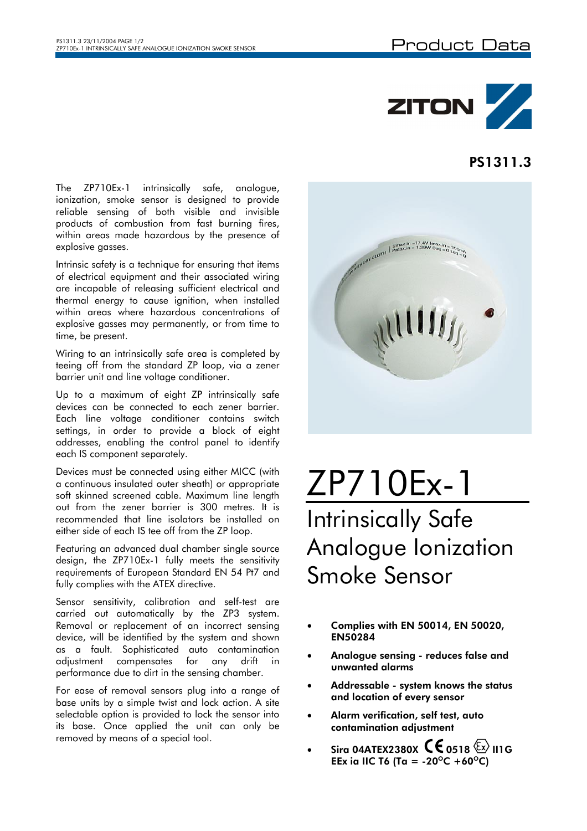

## PS1311.3

The ZP710Ex-1 intrinsically safe, analogue, ionization, smoke sensor is designed to provide reliable sensing of both visible and invisible products of combustion from fast burning fires, within areas made hazardous by the presence of explosive gasses.

Intrinsic safety is a technique for ensuring that items of electrical equipment and their associated wiring are incapable of releasing sufficient electrical and thermal energy to cause ignition, when installed within areas where hazardous concentrations of explosive gasses may permanently, or from time to time, be present.

Wiring to an intrinsically safe area is completed by teeing off from the standard ZP loop, via a zener barrier unit and line voltage conditioner.

Up to a maximum of eight ZP intrinsically safe devices can be connected to each zener barrier. Each line voltage conditioner contains switch settings, in order to provide a block of eight addresses, enabling the control panel to identify each IS component separately.

Devices must be connected using either MICC (with a continuous insulated outer sheath) or appropriate soft skinned screened cable. Maximum line length out from the zener barrier is 300 metres. It is recommended that line isolators be installed on either side of each IS tee off from the ZP loop.

Featuring an advanced dual chamber single source design, the ZP710Ex-1 fully meets the sensitivity requirements of European Standard EN 54 Pt7 and fully complies with the ATEX directive.

Sensor sensitivity, calibration and self-test are carried out automatically by the ZP3 system. Removal or replacement of an incorrect sensing device, will be identified by the system and shown as a fault. Sophisticated auto contamination adjustment compensates for any drift in performance due to dirt in the sensing chamber.

For ease of removal sensors plug into a range of base units by a simple twist and lock action. A site selectable option is provided to lock the sensor into its base. Once applied the unit can only be removed by means of a special tool.



## ZP710Ex-1 Intrinsically Safe Analogue Ionization Smoke Sensor

- Complies with EN 50014, EN 50020, EN50284
- Analogue sensing reduces false and unwanted alarms
- Addressable system knows the status and location of every sensor
- Alarm verification, self test, auto contamination adjustment
- Sira 04ATEX2380X  $\mathsf{\mathsf{C}}\mathsf{\mathsf{C}}$  0518  $\mathbb{\mathbb{Z}}$  II1G EEx ia IIC T6 (Ta = -20<sup>o</sup>C +60<sup>o</sup>C)